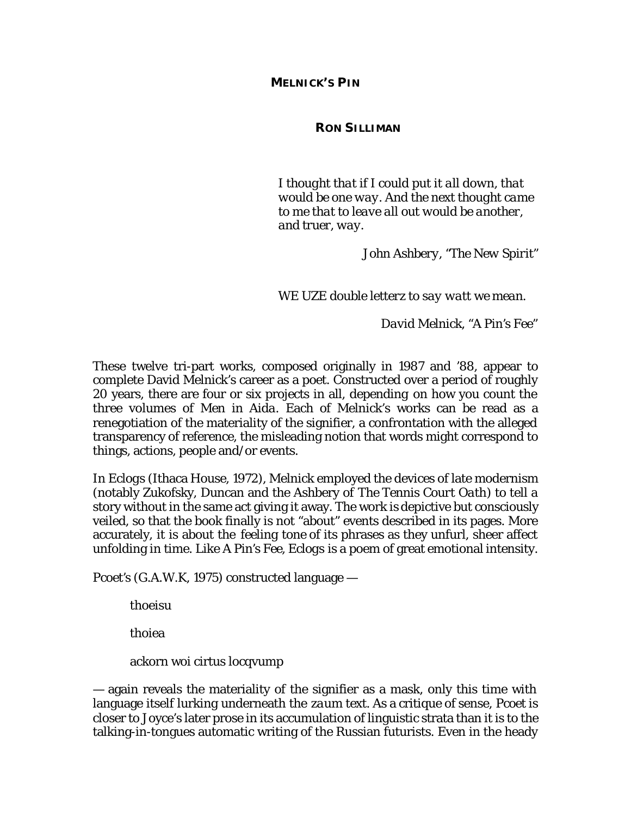**MELNICK'S** *PIN*

**RON SILLIMAN**

*I thought that if I could put it all down, that would be one way. And the next thought came to me that to leave all out would be another, and truer, way.* 

*John Ashbery, "The New Spirit"*

*WE UZE double letterz to say watt we mean.* 

*David Melnick, "A Pin's Fee"*

These twelve tri-part works, composed originally in 1987 and '88, appear to complete David Melnick's career as a poet. Constructed over a period of roughly 20 years, there are four or six projects in all, depending on how you count the three volumes of *Men in Aida.* Each of Melnick's works can be read as a renegotiation of the materiality of the signifier, a confrontation with the alleged transparency of reference, the misleading notion that words might correspond to things, actions, people and/or events.

In *Eclogs* (Ithaca House, 1972), Melnick employed the devices of late modernism (notably Zukofsky, Duncan and the Ashbery of *The Tennis Court Oath*) to tell a story without in the same act giving it away. The work is depictive but consciously veiled, so that the book finally is not "about" events described in its pages. More accurately, it is about the *feeling tone* of its phrases as they unfurl, sheer affect unfolding in time. Like *A Pin's Fee*, *Eclogs* is a poem of great emotional intensity.

*Pcoet's* (G.A.W.K, 1975) constructed language —

thoeisu

thoiea

ackorn woi cirtus locqvump

— again reveals the materiality of the signifier as a mask, only this time with language itself lurking underneath the *zaum* text. As a critique of sense, *Pcoet* is closer to Joyce's later prose in its accumulation of linguistic strata than it is to the talking-in-tongues automatic writing of the Russian futurists. Even in the heady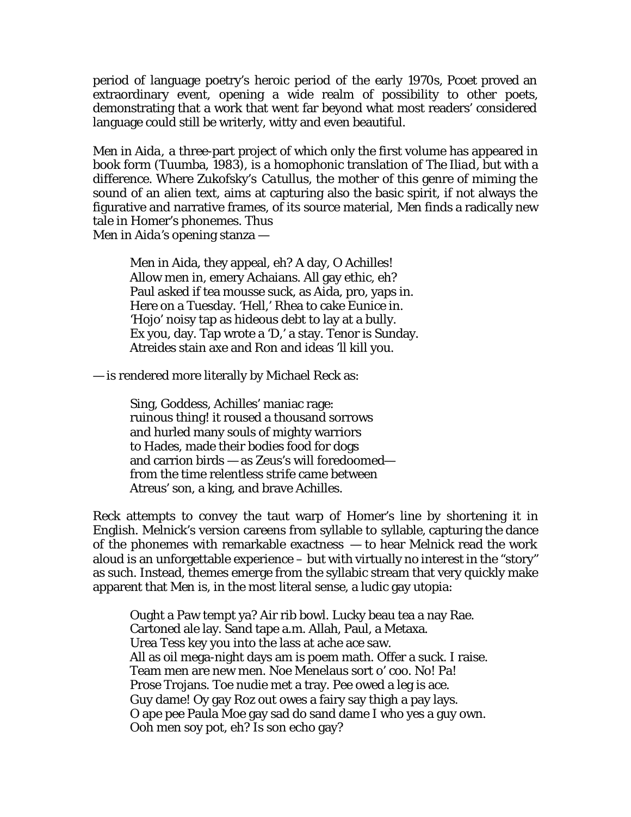period of language poetry's heroic period of the early 1970s, *Pcoet* proved an extraordinary event, opening a wide realm of possibility to other poets, demonstrating that a work that went far beyond what most readers' considered language could still be writerly, witty and even beautiful.

*Men in Aida,* a three-part project of which only the first volume has appeared in book form (Tuumba, 1983), is a homophonic translation of *The Iliad*, but with a difference. Where Zukofsky's *Catullus*, the mother of this genre of miming the sound of an alien text, aims at capturing also the basic spirit, if not always the figurative and narrative frames, of its source material, *Men* finds a radically new tale in Homer's phonemes. Thus *Men in Aida's* opening stanza —

Men in Aida, they appeal, eh? A day, O Achilles! Allow men in, emery Achaians. All gay ethic, eh? Paul asked if tea mousse suck, as Aida, pro, yaps in. Here on a Tuesday. 'Hell,' Rhea to cake Eunice in. 'Hojo' noisy tap as hideous debt to lay at a bully. Ex you, day. Tap wrote a 'D,' a stay. Tenor is Sunday. Atreides stain axe and Ron and ideas 'll kill you.

— is rendered more literally by Michael Reck as:

Sing, Goddess, Achilles' maniac rage: ruinous thing! it roused a thousand sorrows and hurled many souls of mighty warriors to Hades, made their bodies food for dogs and carrion birds — as Zeus's will foredoomed from the time relentless strife came between Atreus' son, a king, and brave Achilles.

Reck attempts to convey the taut warp of Homer's line by shortening it in English. Melnick's version careens from syllable to syllable, capturing the dance of the phonemes with remarkable exactness — to hear Melnick read the work aloud is an unforgettable experience – but with virtually no interest in the "story" as such. Instead, themes emerge from the syllabic stream that very quickly make apparent that *Men* is, in the most literal sense, a ludic gay utopia:

Ought a Paw tempt ya? Air rib bowl. Lucky beau tea a nay Rae. Cartoned ale lay. Sand tape a.m. Allah, Paul, a Metaxa. Urea Tess key you into the lass at ache ace saw. All as oil mega-night days am is poem math. Offer a suck. I raise. Team men are new men. Noe Menelaus sort o' coo. No! Pa! Prose Trojans. Toe nudie met a tray. Pee owed a leg is ace. Guy dame! Oy gay Roz out owes a fairy say thigh a pay lays. O ape pee Paula Moe gay sad do sand dame I who yes a guy own. Ooh men soy pot, eh? Is son echo gay?